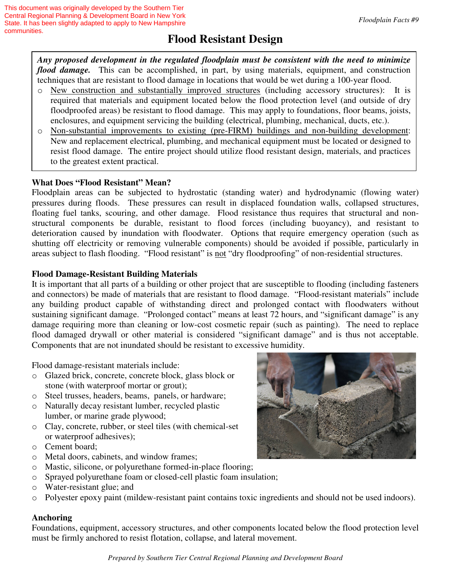# **Flood Resistant Design**

*Any proposed development in the regulated floodplain must be consistent with the need to minimize flood damage.* This can be accomplished, in part, by using materials, equipment, and construction techniques that are resistant to flood damage in locations that would be wet during a 100-year flood.

- o New construction and substantially improved structures (including accessory structures): It is required that materials and equipment located below the flood protection level (and outside of dry floodproofed areas) be resistant to flood damage. This may apply to foundations, floor beams, joists, enclosures, and equipment servicing the building (electrical, plumbing, mechanical, ducts, etc.).
- o Non-substantial improvements to existing (pre-FIRM) buildings and non-building development: New and replacement electrical, plumbing, and mechanical equipment must be located or designed to resist flood damage. The entire project should utilize flood resistant design, materials, and practices to the greatest extent practical.

## **What Does "Flood Resistant" Mean?**

Floodplain areas can be subjected to hydrostatic (standing water) and hydrodynamic (flowing water) pressures during floods. These pressures can result in displaced foundation walls, collapsed structures, floating fuel tanks, scouring, and other damage. Flood resistance thus requires that structural and nonstructural components be durable, resistant to flood forces (including buoyancy), and resistant to deterioration caused by inundation with floodwater. Options that require emergency operation (such as shutting off electricity or removing vulnerable components) should be avoided if possible, particularly in areas subject to flash flooding. "Flood resistant" is not "dry floodproofing" of non-residential structures.

## **Flood Damage-Resistant Building Materials**

It is important that all parts of a building or other project that are susceptible to flooding (including fasteners and connectors) be made of materials that are resistant to flood damage. "Flood-resistant materials" include any building product capable of withstanding direct and prolonged contact with floodwaters without sustaining significant damage. "Prolonged contact" means at least 72 hours, and "significant damage" is any damage requiring more than cleaning or low-cost cosmetic repair (such as painting). The need to replace flood damaged drywall or other material is considered "significant damage" and is thus not acceptable. Components that are not inundated should be resistant to excessive humidity.

Flood damage-resistant materials include:

- o Glazed brick, concrete, concrete block, glass block or stone (with waterproof mortar or grout);
- o Steel trusses, headers, beams, panels, or hardware;
- o Naturally decay resistant lumber, recycled plastic lumber, or marine grade plywood;
- o Clay, concrete, rubber, or steel tiles (with chemical-set or waterproof adhesives);
- o Cement board;
- o Metal doors, cabinets, and window frames;
- o Mastic, silicone, or polyurethane formed-in-place flooring;
- o Sprayed polyurethane foam or closed-cell plastic foam insulation;
- o Water-resistant glue; and
- o Polyester epoxy paint (mildew-resistant paint contains toxic ingredients and should not be used indoors).

#### **Anchoring**

Foundations, equipment, accessory structures, and other components located below the flood protection level must be firmly anchored to resist flotation, collapse, and lateral movement.